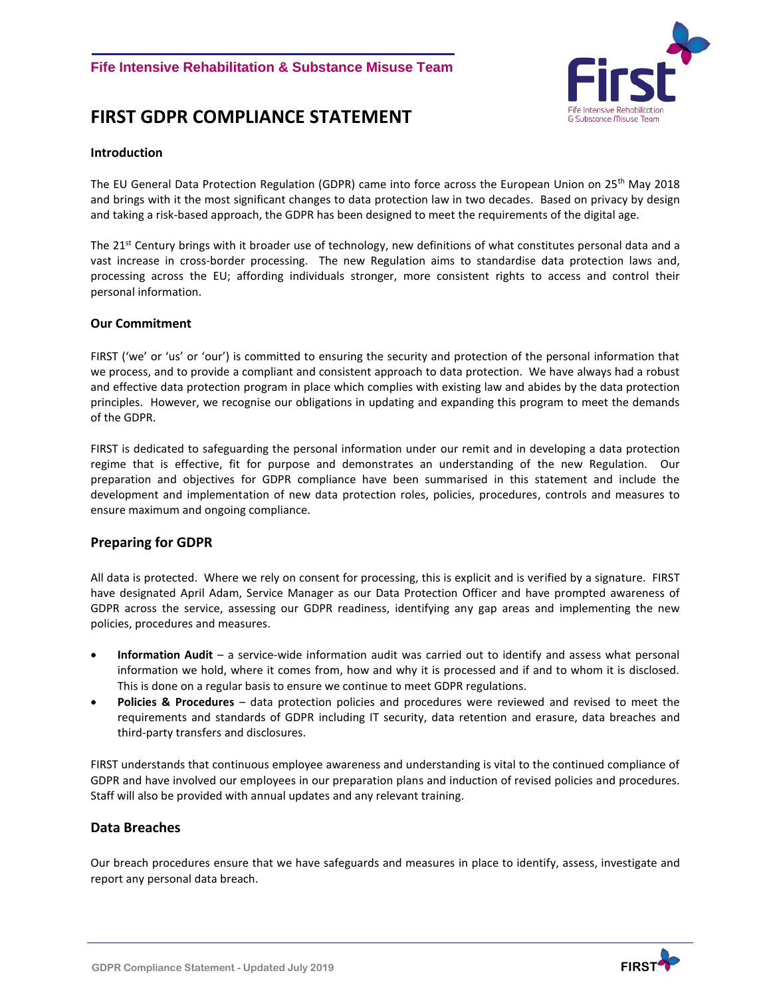# **FIRST GDPR COMPLIANCE STATEMENT**



#### **Introduction**

The EU General Data Protection Regulation (GDPR) came into force across the European Union on 25<sup>th</sup> May 2018 and brings with it the most significant changes to data protection law in two decades. Based on privacy by design and taking a risk-based approach, the GDPR has been designed to meet the requirements of the digital age.

The 21<sup>st</sup> Century brings with it broader use of technology, new definitions of what constitutes personal data and a vast increase in cross-border processing. The new Regulation aims to standardise data protection laws and, processing across the EU; affording individuals stronger, more consistent rights to access and control their personal information.

#### **Our Commitment**

FIRST ('we' or 'us' or 'our') is committed to ensuring the security and protection of the personal information that we process, and to provide a compliant and consistent approach to data protection. We have always had a robust and effective data protection program in place which complies with existing law and abides by the data protection principles. However, we recognise our obligations in updating and expanding this program to meet the demands of the GDPR.

FIRST is dedicated to safeguarding the personal information under our remit and in developing a data protection regime that is effective, fit for purpose and demonstrates an understanding of the new Regulation. Our preparation and objectives for GDPR compliance have been summarised in this statement and include the development and implementation of new data protection roles, policies, procedures, controls and measures to ensure maximum and ongoing compliance.

#### **Preparing for GDPR**

All data is protected. Where we rely on consent for processing, this is explicit and is verified by a signature. FIRST have designated April Adam, Service Manager as our Data Protection Officer and have prompted awareness of GDPR across the service, assessing our GDPR readiness, identifying any gap areas and implementing the new policies, procedures and measures.

- **Information Audit** a service-wide information audit was carried out to identify and assess what personal information we hold, where it comes from, how and why it is processed and if and to whom it is disclosed. This is done on a regular basis to ensure we continue to meet GDPR regulations.
- **Policies & Procedures** data protection policies and procedures were reviewed and revised to meet the requirements and standards of GDPR including IT security, data retention and erasure, data breaches and third-party transfers and disclosures.

FIRST understands that continuous employee awareness and understanding is vital to the continued compliance of GDPR and have involved our employees in our preparation plans and induction of revised policies and procedures. Staff will also be provided with annual updates and any relevant training.

#### **Data Breaches**

Our breach procedures ensure that we have safeguards and measures in place to identify, assess, investigate and report any personal data breach.